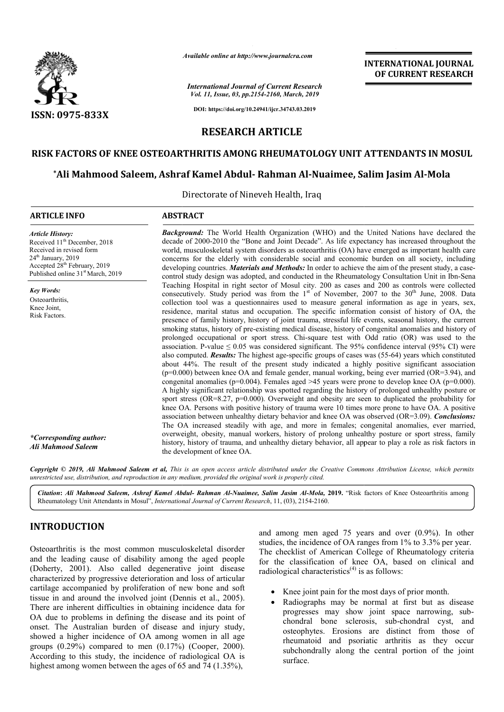

*Available online at http://www.journalcra.com*

*International Journal of Current Research Vol. 11, Issue, 03, pp.2154-2160, March, 2019*

**INTERNATIONAL JOURNAL OF CURRENT RESEARCH**

**DOI: https://doi.org/10.24941/ijcr.34743.03.2019**

# **RESEARCH ARTICLE**

# **RISK FACTORS OF KNEE OSTEOARTHRITIS AMONG RHEUMATOLOGY UNIT ATTENDANTS IN MOSUL**

# **\*Ali Mahmood Saleem, Ashraf Kamel Abdul Ali Abdul- Rahman Al-Nuaimee, Salim Jasim Al AMONG RHEUMATOLOGY Nuaimee, Al-Mola**

Directorate of Nineveh Health, Iraq

#### **ARTICLE INFO ABSTRACT**

*Article History:* Received 11<sup>th</sup> December, 2018 Received in revised form 24<sup>th</sup> January, 2019 Accepted 28th February, 2019 Published online 31<sup>st</sup> March, 2019

*Key Words:* Osteoarthritis Knee Joint, Risk Factors.

*Background:* The World Health Organization (WHO) and the United Nations have declared the decade of 2000 2000-2010 the "Bone and Joint Decade". As life expectancy has increased throughout the world, musculoskeletal system disorders as osteoarthritis (OA) have emerged as important health care concerns for the elderly with considerable social and economic burden on all society, including concerns for the elderly with considerable social and economic burden on all society, including developing countries. *Materials and Methods*: In order to achieve the aim of the present study, a casecontrol study design was adopted, and conducted in the Rheumatology Consultation Unit in Ibn-Sena Teaching Hospital in right sector of Mosul city. 200 as cases and 200 as controls were collected consecutively. collect residence, marital status and occupation. The specific information consist of history of OA, the presence of family history, history of joint trauma, stressful life events, seasonal history, the current smoking status, history of pre-existing medical disease, history of congenital anomalies and history of prolonged occupational or sport stress. Chi-square test with Odd ratio (OR) was used to the association. P-value  $\leq 0.05$  was considered significant. The 95% confidence interval (95% CI) were also computed. *Results:* The highest age-specific groups of cases was (55 about 44%. The result of the present study indicated a highly positive significant association  $(p=0.000)$  between knee OA and female gender, manual working, being ever married (OR=3.94), and congenital anomalies ( $p=0.004$ ). Females aged >45 years were prone to develop knee OA ( $p=0.000$ ). A highly significant relationship was spotted regarding the history of prolonged unhealthy posture or sport stress ( $OR=8.27$ ,  $p=0.000$ ). Overweight and obesity are seen to duplicated the probability for knee OA. Persons with positive history of trauma were 10 times more prone to have OA. A positive associatio association between unhealthy dietary behavior and knee OA was observed (OR=3.09). The OA increased steadily with age, and more in females; congenital anomalies, ever married, The OA increased steadily with age, and more in females; congenital anomalies, ever married, overweight, obesity, manual workers, history of prolong unhealthy posture or sport stress, family history, history of trauma, and unhealthy dietary behavior, all appear to play a role as risk factors in the development of knee OA. Study period was from the  $1<sup>st</sup>$  of November, 2007 to the 30 collection tool was a questionnaires used to measure general information as age in years, sex, **Background:** The World Health Organization (WHO) and the United Nations have declared the decade of 2000-2010 the "Bone and Joint Decade". As life expectancy has increased throughout the world, musculoskeletal system diso Teaching Hospital in right sector of Mosul city. 200 as cases and 200 as controls were collected consecutively. Study period was from the  $1<sup>st</sup>$  of November, 2007 to the  $30<sup>th</sup>$  June, 2008. Data collection tool was a questionnaires used to measure general information as age in years, sex, residence, marital status and occupation. The specific information consist of history of OA, the presence of family history, hi f pre-existing medical disease, history of congenital anomalies and history of or sport stress. Chi-square test with Odd ratio (OR) was used to the 05 was considered significant. The 95% confidence interval (95% CI) were T (p=0.000) between knee OA and female gender, manual working, being ever married (OR=3.94), and congenital anomalies (p=0.004). Females aged >45 years were prone to develop knee OA (p=0.000). A highly significant relationsh **INTERNATIONAL JOURNAL OF CURRENT RESEARCH**<br>
OF **CURRENT RESEARCH**<br>
OD (and the United Nations have declared the<br>
sis (OA) nave compared in **All Mola**<br>
and So (Mola along the United Nations have declared the<br>
sis (OA) nav

Copyright © 2019, Ali Mahmood Saleem et al, This is an open access article distributed under the Creative Commons Attribution License, which permits *unrestricted use, distribution, and reproduction in any medium, provided the original work is properly cited.*

Citation: Ali Mahmood Saleem, Ashraf Kamel Abdul- Rahman Al-Nuaimee, Salim Jasim Al-Mola, 2019. "Risk factors of Knee Osteoarthritis among Rheumatology Unit Attendants in Mosul", *International Journal of Current Research* , 11, (03), 2154-2160.

# **INTRODUCTION**

*\*Corresponding author: Ali Mahmood Saleem*

Osteoarthritis is the most common musculoskeletal disorder and the leading cause of disability among the aged people (Doherty, 2001). Also called degenerative joint disease characterized by progressive deterioration and loss of articular cartilage accompanied by proliferation of new bone tissue in and around the involved joint (Dennis Dennis et al., 2005). There are inherent difficulties in obtaining incidence data for OA due to problems in defining the disease and its point of onset. The Australian burden of disease and injury study, showed a higher incidence of OA among women in all age groups (0.29%) compared to men (0.17%) (Cooper, 2000). According to this study, the incidence of radiological OA is highest among women between the ages of 65 and 74 (1.35%), . Also called degenerative joint disease<br>progressive deterioration and loss of articular<br>anied by proliferation of new bone and soft and among men aged 75 years and over (0.9%). In other studies, the incidence of OA ranges from 1% to 3.3% per year. The checklist of American College of Rheumatology criteria for the classification of knee OA, based on clinical and radiological characteristics<sup> $(4)$ </sup> is as follows: among men aged 75 years and over  $(0.9\%)$ . In other<br>ies, the incidence of OA ranges from 1% to 3.3% per year.<br>checklist of American College of Rheumatology criteria<br>the classification of knee OA, based on clinical and<br>lol

- Knee joint pain for the most days of prior month.
- Radiographs may be normal at first but as disease progresses may show joint space narrowing, sub chondral bone sclerosis, sub-chondral cyst, and osteophytes. Erosions are Erosions are distinct from those of rheumatoid and psoriatic arthritis as they occur subchondrally along the central portion of the joint surface.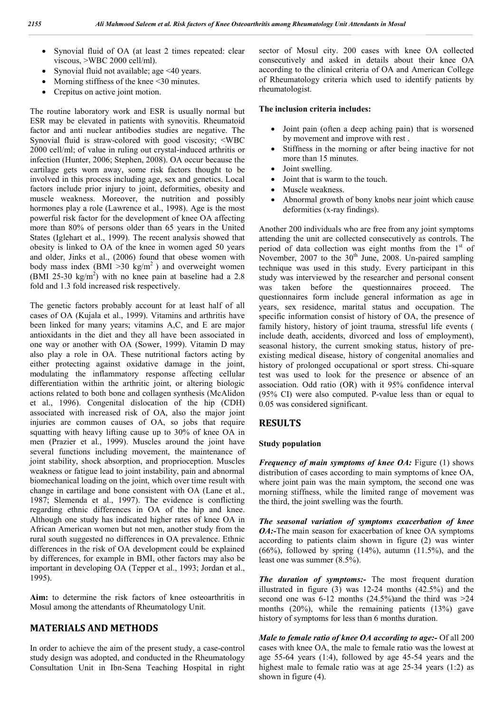- Synovial fluid of OA (at least 2 times repeated: clear viscous, >WBC 2000 cell/ml).
- Synovial fluid not available; age <40 years.
- Morning stiffness of the knee  $\leq 30$  minutes.
- Crepitus on active joint motion.

The routine laboratory work and ESR is usually normal but ESR may be elevated in patients with synovitis. Rheumatoid factor and anti nuclear antibodies studies are negative. The Synovial fluid is straw-colored with good viscosity; ˂WBC 2000 cell/ml; of value in ruling out crystal-induced arthritis or infection (Hunter, 2006; Stephen, 2008). OA occur because the cartilage gets worn away, some risk factors thought to be involved in this process including age, sex and genetics. Local factors include prior injury to joint, deformities, obesity and muscle weakness. Moreover, the nutrition and possibly hormones play a role (Lawrence et al., 1998). Age is the most powerful risk factor for the development of knee OA affecting more than 80% of persons older than 65 years in the United States (Iglehart et al., 1999). The recent analysis showed that obesity is linked to OA of the knee in women aged 50 years and older, Jinks et al., (2006) found that obese women with body mass index (BMI  $>30 \text{ kg/m}^2$ ) and overweight women (BMI 25-30  $\text{kg/m}^2$ ) with no knee pain at baseline had a 2.8 fold and 1.3 fold increased risk respectively.

The genetic factors probably account for at least half of all cases of OA (Kujala et al., 1999). Vitamins and arthritis have been linked for many years; vitamins A,C, and E are major antioxidants in the diet and they all have been associated in one way or another with OA (Sower, 1999). Vitamin D may also play a role in OA. These nutritional factors acting by either protecting against oxidative damage in the joint, modulating the inflammatory response affecting cellular differentiation within the arthritic joint, or altering biologic actions related to both bone and collagen synthesis (McAlidon et al., 1996). Congenital dislocation of the hip (CDH) associated with increased risk of OA, also the major joint injuries are common causes of OA, so jobs that require squatting with heavy lifting cause up to 30% of knee OA in men (Prazier et al., 1999). Muscles around the joint have several functions including movement, the maintenance of joint stability, shock absorption, and proprioception. Muscles weakness or fatigue lead to joint instability, pain and abnormal biomechanical loading on the joint, which over time result with change in cartilage and bone consistent with OA (Lane et al., 1987; Slemenda et al., 1997). The evidence is conflicting regarding ethnic differences in OA of the hip and knee. Although one study has indicated higher rates of knee OA in African American women but not men, another study from the rural south suggested no differences in OA prevalence. Ethnic differences in the risk of OA development could be explained by differences, for example in BMI, other factors may also be important in developing OA (Tepper et al., 1993; Jordan et al., 1995).

**Aim:** to determine the risk factors of knee osteoarthritis in Mosul among the attendants of Rheumatology Unit.

# **MATERIALS AND METHODS**

In order to achieve the aim of the present study, a case-control study design was adopted, and conducted in the Rheumatology Consultation Unit in Ibn-Sena Teaching Hospital in right sector of Mosul city. 200 cases with knee OA collected consecutively and asked in details about their knee OA according to the clinical criteria of OA and American College of Rheumatology criteria which used to identify patients by rheumatologist.

### **The inclusion criteria includes:**

- Joint pain (often a deep aching pain) that is worsened by movement and improve with rest .
- Stiffness in the morning or after being inactive for not more than 15 minutes.
- Joint swelling.
- Joint that is warm to the touch.
- Muscle weakness.
- Abnormal growth of bony knobs near joint which cause deformities (x-ray findings).

Another 200 individuals who are free from any joint symptoms attending the unit are collected consecutively as controls. The period of data collection was eight months from the  $1<sup>st</sup>$  of November, 2007 to the  $30<sup>th</sup>$  June, 2008. Un-paired sampling technique was used in this study. Every participant in this study was interviewed by the researcher and personal consent was taken before the questionnaires proceed. The questionnaires form include general information as age in years, sex residence, marital status and occupation. The specific information consist of history of OA, the presence of family history, history of joint trauma, stressful life events ( include death, accidents, divorced and loss of employment), seasonal history, the current smoking status, history of preexisting medical disease, history of congenital anomalies and history of prolonged occupational or sport stress. Chi-square test was used to look for the presence or absence of an association. Odd ratio (OR) with it 95% confidence interval (95% CI) were also computed. P-value less than or equal to 0.05 was considered significant.

# **RESULTS**

#### **Study population**

*Frequency of main symptoms of knee OA:* Figure (1) shows distribution of cases according to main symptoms of knee OA, where joint pain was the main symptom, the second one was morning stiffness, while the limited range of movement was the third, the joint swelling was the fourth.

*The seasonal variation of symptoms exacerbation of knee OA:-The main season for exacerbation of knee OA symptoms* according to patients claim shown in figure (2) was winter (66%), followed by spring  $(14\%)$ , autumn  $(11.5\%)$ , and the least one was summer (8.5%).

*The duration of symptoms:-* The most frequent duration illustrated in figure (3) was 12-24 months (42.5%) and the second one was  $6-12$  months  $(24.5\%)$  and the third was  $>24$ months  $(20\%)$ , while the remaining patients  $(13\%)$  gave history of symptoms for less than 6 months duration.

*Male to female ratio of knee OA according to age:-* Of all 200 cases with knee OA, the male to female ratio was the lowest at age 55-64 years (1:4), followed by age 45-54 years and the highest male to female ratio was at age 25-34 years (1:2) as shown in figure (4).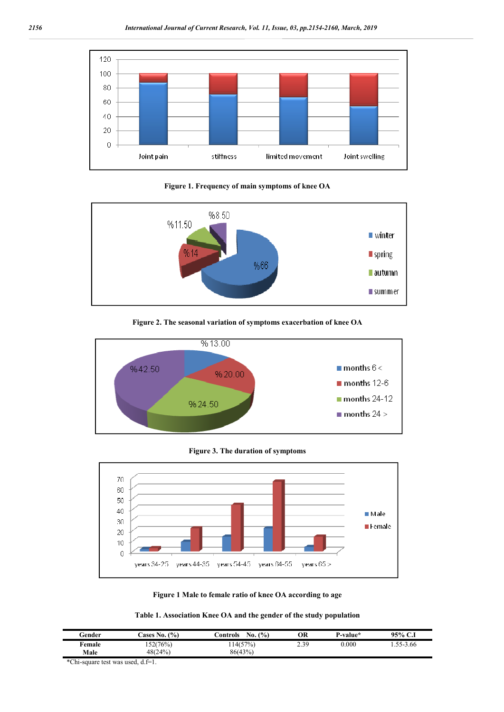

**Figure 1. Frequency of main symptoms of knee OA**



**Figure 2. The seasonal variation of symptoms exacerbation of knee OA**



**Figure 3. The duration of symptoms**



**Figure 1 Male to female ratio of knee OA according to age**

**Table 1. Association Knee OA and the gender of the study population**

| Gender | Cases No. (%) | $($ %)<br>No.<br>.`ontrols | OR   | P-value*  | 95% C.1 |
|--------|---------------|----------------------------|------|-----------|---------|
| Female | 152(76%)      | 14(57%)                    | 2.39 | $0.000\,$ | 55-3.66 |
| Male   | 48(24%)       | 86(43%)                    |      |           |         |

\*Chi-square test was used, d.f=1.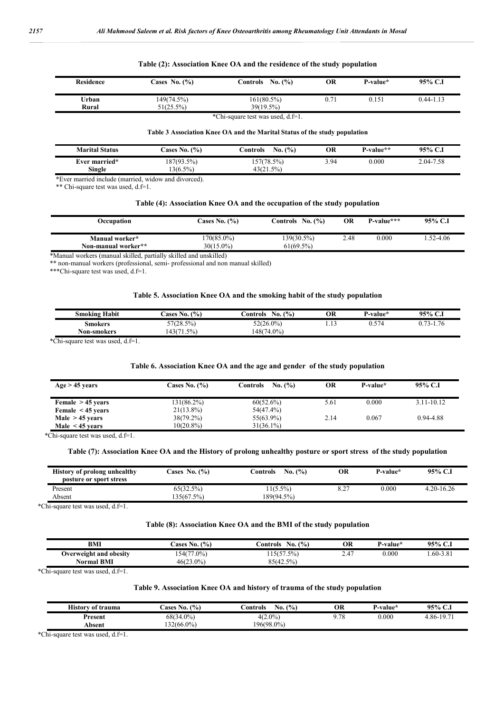|                  |                      |                     | .         |          |               |
|------------------|----------------------|---------------------|-----------|----------|---------------|
| <b>Residence</b> | <b>Cases No. (%)</b> | Controls No. $(\%)$ | ОR        | P-value* | 95% C.I       |
| Urban            | 149(74.5%)           | $161(80.5\%)$       | $^{0.71}$ | 0.151    | $0.44 - 1.13$ |

#### **Table (2): Association Knee OA and the residence of the study population**

#### \*Chi-square test was used, d.f=1.

#### **Table 3 Association Knee OA and the Marital Status of the study population**

| <b>Marital Status</b> | Cases No. $(\%)$ | No. (%)<br>∪ontrols | ОR   | P-value** | 95% C.I   |
|-----------------------|------------------|---------------------|------|-----------|-----------|
| Ever married*         | 187(93.5%)       | 157(78.5%)          | 3.94 | 0.000     | 2.04-7.58 |
| Single                | 13(6.5%)         | 43(21.5%)           |      |           |           |

\*Ever married include (married, widow and divorced).

\*\* Chi-square test was used, d.f=1.

#### **Table (4): Association Knee OA and the occupation of the study population**

| Occupation                            | <b>Cases No. (%)</b>          | Controls No. (%)        | OR   | $P-value***$ | 95% C.I      |
|---------------------------------------|-------------------------------|-------------------------|------|--------------|--------------|
| Manual worker*<br>Non-manual worker** | $170(85.0\%)$<br>$30(15.0\%)$ | 139(30.5%)<br>61(69.5%) | 2.48 | 0.000        | $.52 - 4.06$ |
|                                       |                               |                         |      |              |              |

\*Manual workers (manual skilled, partially skilled and unskilled)

\*\* non-manual workers (professional, semi- professional and non manual skilled)

**Rural** 51(25.5%) 39(19.5%)

\*\*\*Chi-square test was used, d.f=1.

#### **Table 5. Association Knee OA and the smoking habit of the study population**

| Habit<br>Smoking | $\frac{6}{6}$<br>cases<br>No. | (0)<br>∠ontrols<br>No. | OR       | ∡-value* | 95% C.               |
|------------------|-------------------------------|------------------------|----------|----------|----------------------|
| Smokers          | 57(28.5%)                     | 52(26.0%)              | .<br>___ | 574      | 1.76<br>0.72.1<br>۰- |
| Non-smokers      | .5%<br>143(7)<br>1.37         | 148(74.0%              |          |          |                      |
|                  |                               |                        |          |          |                      |

\*Chi-square test was used, d.f=1.

#### **Table 6. Association Knee OA and the age and gender of the study population**

| $Age > 45 \text{ years}$ | <b>Cases No. (%)</b> | No. (%)<br>Controls | OR   | P-value* | 95% C.I        |
|--------------------------|----------------------|---------------------|------|----------|----------------|
| Female $> 45$ years      | 131(86.2%)           | 60(52.6%)           | 5.61 | 0.000    | $3.11 - 10.12$ |
| Female $\leq$ 45 years   | $21(13.8\%)$         | 54(47.4%)           |      |          |                |
| Male $> 45$ years        | $38(79.2\%)$         | 55(63.9%)           | 2.14 | 0.067    | 0.94-4.88      |
| Male $\leq$ 45 years     | 10(20.8%)            | $31(36.1\%)$        |      |          |                |

\*Chi-square test was used, d.f=1.

#### **Table (7): Association Knee OA and the History of prolong unhealthy posture or sport stress of the study population**

| <b>History of prolong unhealthy</b><br>posture or sport stress | Cases No. $(\% )$ | No. (%)<br>Controls | ОR  | P-value* | 95% C.I        |
|----------------------------------------------------------------|-------------------|---------------------|-----|----------|----------------|
| Present                                                        | 65(32.5%)         | 11(5.5%)            | 0.4 | 0.000    | $4.20 - 16.26$ |
| Absent                                                         | 135(67.5%)        | 189(94.5%)          |     |          |                |

\*Chi-square test was used, d.f=1.

#### **Table (8): Association Knee OA and the BMI of the study population**

| <b>BMI</b>             | (9/0)<br>ases :<br>$\mathbf{N}$ 0. $\mathbf{N}$ | $\frac{(0)}{0}$<br>€ontrols<br>No. | ОR                    | ∴-value* | 95% C.I                  |
|------------------------|-------------------------------------------------|------------------------------------|-----------------------|----------|--------------------------|
| Overweight and obesity | 154(77.0%)                                      | 15(57.5%)                          | $\overline{A}$<br>2.4 | 0.000    | $.60 - 3.8$ <sup>*</sup> |
| <b>Normal BMI</b>      | $46(23.0\%)$                                    | 85(42.5%)                          |                       |          |                          |

\*Chi-square test was used, d.f=1.

#### **Table 9. Association Knee OA and history of trauma of the study population**

| $4(2.0\%)$<br>70<br>68(34.0%)<br>0.000<br>197<br>-86-<br>Present | $\mathbf{v}$<br>of trauma<br>History | (9/0)<br>$\mathbf{v}$<br>ases<br>No. | (9/0)<br>$ -$<br>bontrols∆<br>No. | ОR | ∡ -value* | 95%<br>$\sim$ 1<br>$\ddotsc$ |
|------------------------------------------------------------------|--------------------------------------|--------------------------------------|-----------------------------------|----|-----------|------------------------------|
|                                                                  |                                      |                                      |                                   |    |           |                              |
|                                                                  | Absent                               | 132(66.0%)                           | 196(98.0%)                        |    |           |                              |

\*Chi-square test was used, d.f=1.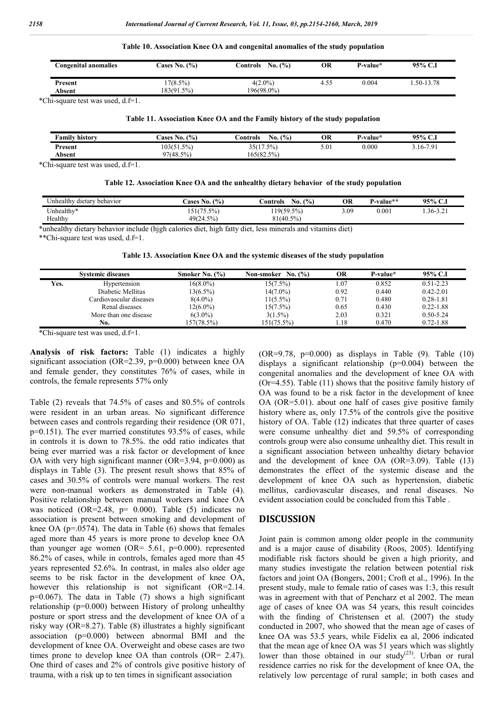| Table 10. Association Knee OA and congenital anomalies of the study population |  |  |
|--------------------------------------------------------------------------------|--|--|
|--------------------------------------------------------------------------------|--|--|

| Congenital anomalies | Cases No. $(\%)$ | No. (%)<br>Controls | OR   | P-value* | 95% C.I       |
|----------------------|------------------|---------------------|------|----------|---------------|
| Present              | $7(8.5\%)$       | $4(2.0\%)$          | 4.55 | 0.004    | $.50 - 13.78$ |
| Absent               | 183(91.5%)       | 196(98.0%)          |      |          |               |

\*Chi-square test was used, d.f=1.

#### **Table 11. Association Knee OA and the Family history of the study population**

| $\cdots$<br>Family history | (%)<br><b>Cases No.</b> | No. (%)<br>.`ontrols | OR   | P-value* | $95\%$ C.i |
|----------------------------|-------------------------|----------------------|------|----------|------------|
| Present                    | 103(51.5%)              | 35(17<br>5%<br>ر     | 5.01 | 0.000    | 3.16-7.91  |
| Absent                     | 97(48.5%)               | 165(82.5%)           |      |          |            |

\*Chi-square test was used, d.f=1.

|  |  | Table 12. Association Knee OA and the unhealthy dietary behavior of the study population |
|--|--|------------------------------------------------------------------------------------------|
|  |  |                                                                                          |

| Jnhealthy<br>dietary behavior | $\frac{1}{2}$<br>ases<br>No. | $\frac{1}{2}$<br>∴ontrols<br>N <sub>0</sub> . | OR   | r-value** | 95%<br>◡                     |
|-------------------------------|------------------------------|-----------------------------------------------|------|-----------|------------------------------|
| Unhealthy*                    | 51/75<br>$1(75.5\%)$         | $19(59.5\%$                                   | 5.09 | 0.001     | $.36 - 3.2$<br>$\sim$ $\sim$ |
| Healthy                       | 49(24.5%)                    | 81(40.5%)                                     |      |           |                              |

\*unhealthy dietary behavior include (hjgh calories diet, high fatty diet, less minerals and vitamins diet)

\*\*Chi-square test was used, d.f=1.

**Table 13. Association Knee OA and the systemic diseases of the study population**

|      | <b>Systemic diseases</b> | Smoker No. (%) | No. (%)<br>Non-smoker | OR   | P-value* | 95% C.I       |
|------|--------------------------|----------------|-----------------------|------|----------|---------------|
| Yes. | Hypertension             | $16(8.0\%)$    | $15(7.5\%)$           | .07  | 0.852    | $0.51 - 2.23$ |
|      | Diabetic Mellitus        | $13(6.5\%)$    | $14(7.0\%)$           | 0.92 | 0.440    | $0.42 - 2.01$ |
|      | Cardiovascular diseases  | $8(4.0\%)$     | $11(5.5\%)$           | 0.71 | 0.480    | $0.28 - 1.81$ |
|      | Renal diseases           | $12(6.0\%)$    | $15(7.5\%)$           | 0.65 | 0.430    | $0.22 - 1.88$ |
|      | More than one disease    | $6(3.0\%)$     | $3(1.5\%)$            | 2.03 | 0.321    | $0.50 - 5.24$ |
|      | No.                      | 157(78.5%)     | $151(75.5\%)$         | .18  | 0.470    | $0.72 - 1.88$ |

\*Chi-square test was used, d.f=1.

**Analysis of risk factors:** Table (1) indicates a highly significant association (OR=2.39, p=0.000) between knee OA and female gender, they constitutes 76% of cases, while in controls, the female represents 57% only

Table (2) reveals that 74.5% of cases and 80.5% of controls were resident in an urban areas. No significant difference between cases and controls regarding their residence (OR 071, p=0.151). The ever married constitutes 93.5% of cases, while in controls it is down to 78.5%. the odd ratio indicates that being ever married was a risk factor or development of knee OA with very high significant manner (OR=3.94,  $p=0.000$ ) as displays in Table (3). The present result shows that 85% of cases and 30.5% of controls were manual workers. The rest were non-manual workers as demonstrated in Table (4). Positive relationship between manual workers and knee OA was noticed  $(OR=2.48, p= 0.000)$ . Table (5) indicates no association is present between smoking and development of knee OA ( $p=0.0574$ ). The data in Table (6) shows that females aged more than 45 years is more prone to develop knee OA than younger age women (OR=  $5.61$ , p=0.000). represented 86.2% of cases, while in controls, females aged more than 45 years represented 52.6%. In contrast, in males also older age seems to be risk factor in the development of knee OA, however this relationship is not significant (OR=2.14. p=0.067). The data in Table (7) shows a high significant relationship (p=0.000) between History of prolong unhealthy posture or sport stress and the development of knee OA of a risky way (OR=8.27). Table (8) illustrates a highly significant association (p=0.000) between abnormal BMI and the development of knee OA. Overweight and obese cases are two times prone to develop knee OA than controls (OR= 2.47). One third of cases and 2% of controls give positive history of trauma, with a risk up to ten times in significant association

 $(OR=9.78, p=0.000)$  as displays in Table  $(9)$ . Table  $(10)$ displays a significant relationship (p=0.004) between the congenital anomalies and the development of knee OA with (Or=4.55). Table (11) shows that the positive family history of OA was found to be a risk factor in the development of knee OA (OR=5.01). about one half of cases give positive family history where as, only 17.5% of the controls give the positive history of OA. Table (12) indicates that three quarter of cases were consume unhealthy diet and 59.5% of corresponding controls group were also consume unhealthy diet. This result in a significant association between unhealthy dietary behavior and the development of knee OA (OR=3.09). Table (13) demonstrates the effect of the systemic disease and the development of knee OA such as hypertension, diabetic mellitus, cardiovascular diseases, and renal diseases. No evident association could be concluded from this Table .

#### **DISCUSSION**

Joint pain is common among older people in the community and is a major cause of disability (Roos, 2005). Identifying modifiable risk factors should be given a high priority, and many studies investigate the relation between potential risk factors and joint OA (Bongers, 2001; Croft et al., 1996). In the present study, male to female ratio of cases was 1:3, this result was in agreement with that of Pencharz et al 2002. The mean age of cases of knee OA was 54 years, this result coincides with the finding of Christensen et al. (2007) the study conducted in 2007, who showed that the mean age of cases of knee OA was 53.5 years, while Fidelix ea al, 2006 indicated that the mean age of knee OA was 51 years which was slightly lower than those obtained in our study<sup>(23)</sup>. Urban or rural residence carries no risk for the development of knee OA, the relatively low percentage of rural sample; in both cases and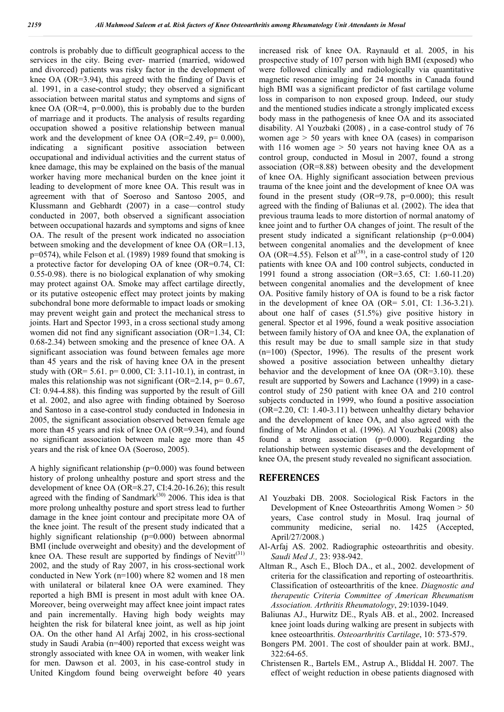controls is probably due to difficult geographical access to the services in the city. Being ever- married (married, widowed and divorced) patients was risky factor in the development of knee OA (OR=3.94), this agreed with the finding of Davis et al. 1991, in a case-control study; they observed a significant association between marital status and symptoms and signs of knee OA (OR=4,  $p=0.000$ ), this is probably due to the burden of marriage and it products. The analysis of results regarding occupation showed a positive relationship between manual work and the development of knee OA (OR=2.49,  $p= 0.000$ ), indicating a significant positive association between occupational and individual activities and the current status of knee damage, this may be explained on the basis of the manual worker having more mechanical burden on the knee joint it leading to development of more knee OA. This result was in agreement with that of Soeroso and Santoso 2005, and Klussmann and Gebhardt (2007) in a case—control study conducted in 2007, both observed a significant association between occupational hazards and symptoms and signs of knee OA. The result of the present work indicated no association between smoking and the development of knee OA (OR=1.13, p=0574), while Felson et al. (1989) 1989 found that smoking is a protective factor for developing OA of knee (OR=0.74, CI: 0.55-0.98). there is no biological explanation of why smoking may protect against OA. Smoke may affect cartilage directly, or its putative osteopenic effect may protect joints by making subchondral bone more deformable to impact loads or smoking may prevent weight gain and protect the mechanical stress to joints. Hart and Spector 1993, in a cross sectional study among women did not find any significant association (OR=1.34, CI: 0.68-2.34) between smoking and the presence of knee OA. A significant association was found between females age more than 45 years and the risk of having knee OA in the present study with (OR=  $5.61.$  p=  $0.000$ , CI:  $3.11-10.1$ ), in contrast, in males this relationship was not significant (OR=2.14,  $p=0.67$ , CI: 0.94-4.88). this finding was supported by the result of Gill et al. 2002, and also agree with finding obtained by Soeroso and Santoso in a case-control study conducted in Indonesia in 2005, the significant association observed between female age more than 45 years and risk of knee OA (OR=9.34), and found no significant association between male age more than 45 years and the risk of knee OA (Soeroso, 2005).

A highly significant relationship (p=0.000) was found between history of prolong unhealthy posture and sport stress and the development of knee OA (OR=8.27, CI:4.20-16.26); this result agreed with the finding of Sandmark<sup> $(30)$ </sup> 2006. This idea is that more prolong unhealthy posture and sport stress lead to further damage in the knee joint contour and precipitate more OA of the knee joint. The result of the present study indicated that a highly significant relationship (p=0.000) between abnormal BMI (include overweight and obesity) and the development of knee OA. These result are supported by findings of  $Newton<sup>(31)</sup>$ 2002, and the study of Ray 2007, in his cross-sectional work conducted in New York (n=100) where 82 women and 18 men with unilateral or bilateral knee OA were examined. They reported a high BMI is present in most adult with knee OA. Moreover, being overweight may affect knee joint impact rates and pain incrementally. Having high body weights may heighten the risk for bilateral knee joint, as well as hip joint OA. On the other hand Al Arfaj 2002, in his cross-sectional study in Saudi Arabia (n=400) reported that excess weight was strongly associated with knee OA in women, with weaker link for men. Dawson et al. 2003, in his case-control study in United Kingdom found being overweight before 40 years

increased risk of knee OA. Raynauld et al. 2005, in his prospective study of 107 person with high BMI (exposed) who were followed clinically and radiologically via quantitative magnetic resonance imaging for 24 months in Canada found high BMI was a significant predictor of fast cartilage volume loss in comparison to non exposed group. Indeed, our study and the mentioned studies indicate a strongly implicated excess body mass in the pathogenesis of knee OA and its associated disability. Al Youzbaki (2008) , in a case-control study of 76 women age  $> 50$  years with knee OA (cases) in comparison with 116 women age  $> 50$  years not having knee OA as a control group, conducted in Mosul in 2007, found a strong association (OR=8.88) between obesity and the development of knee OA. Highly significant association between previous trauma of the knee joint and the development of knee OA was found in the present study (OR=9.78,  $p=0.000$ ); this result agreed with the finding of Baliunas et al. (2002). The idea that previous trauma leads to more distortion of normal anatomy of knee joint and to further OA changes of joint. The result of the present study indicated a significant relationship (p=0.004) between congenital anomalies and the development of knee OA (OR=4.55). Felson et  $al^{(38)}$ , in a case-control study of 120 patients with knee OA and 100 control subjects, conducted in 1991 found a strong association (OR=3.65, CI: 1.60-11.20) between congenital anomalies and the development of knee OA. Positive family history of OA is found to be a risk factor in the development of knee OA (OR= 5.01, CI: 1.36-3.21). about one half of cases (51.5%) give positive history in general. Spector et al 1996, found a weak positive association between family history of OA and knee OA, the explanation of this result may be due to small sample size in that study (n=100) (Spector, 1996). The results of the present work showed a positive association between unhealthy dietary behavior and the development of knee OA (OR=3.10). these result are supported by Sowers and Lachance (1999) in a casecontrol study of 250 patient with knee OA and 210 control subjects conducted in 1999, who found a positive association (OR=2.20, CI: 1.40-3.11) between unhealthy dietary behavior and the development of knee OA, and also agreed with the finding of Mc Alindon et al. (1996). Al Youzbaki (2008) also found a strong association (p=0.000). Regarding the relationship between systemic diseases and the development of knee OA, the present study revealed no significant association.

## **REFERENCES**

- Al Youzbaki DB. 2008. Sociological Risk Factors in the Development of Knee Osteoarthritis Among Women  $> 50$ years, Case control study in Mosul. Iraq journal of community medicine, serial no. 1425 (Accepted, April/27/2008.)
- Al-Arfaj AS. 2002. Radiographic osteoarthritis and obesity. *Saudi Med J.,* 23: 938-942.
- Altman R., Asch E., Bloch DA., et al., 2002. development of criteria for the classification and reporting of osteoarthritis. Classification of osteoarthritis of the knee. *Diagnostic and therapeutic Criteria Committee of American Rheumatism Association. Arthritis Rheumatology*, 29:1039-1049.
- Baliunas AJ., Hurwitz DE., Ryals AB. et al., 2002. Increased knee joint loads during walking are present in subjects with knee osteoarthritis. *Osteoarthritis Cartilage*, 10: 573-579.
- Bongers PM. 2001. The cost of shoulder pain at work. BMJ., 322:64-65.
- Christensen R., Bartels EM., Astrup A., Bliddal H. 2007. The effect of weight reduction in obese patients diagnosed with